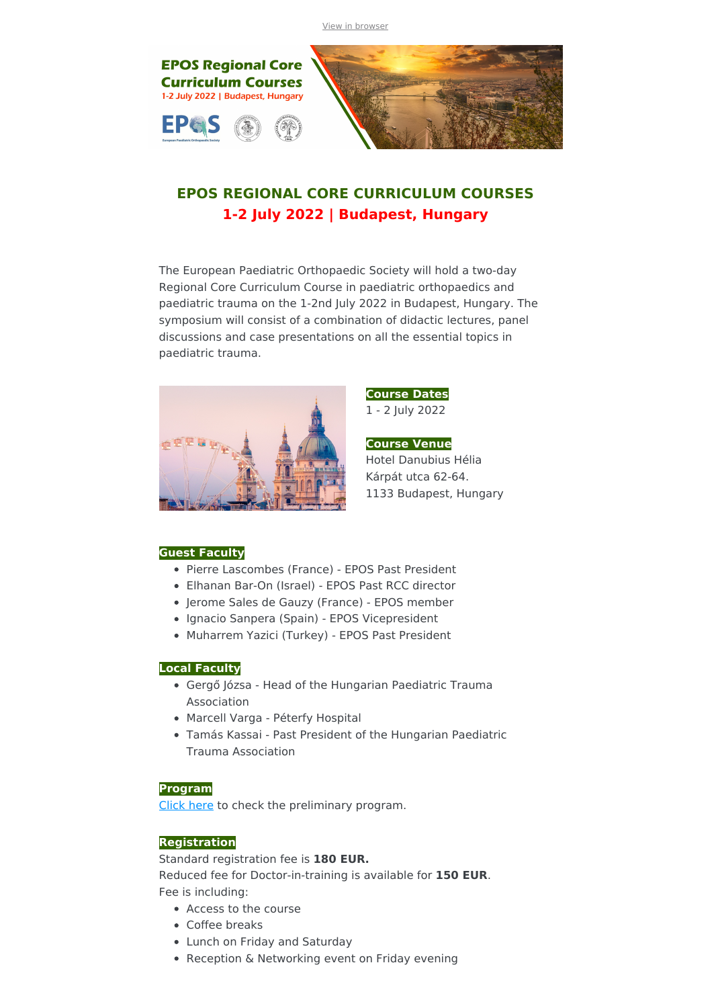View in [browser](file:///var/www/html/public/%7B%7B%20mirror%20%7D%7D)



# **EPOS REGIONAL CORE CURRICULUM COURSES 1-2 July 2022 | Budapest, Hungary**

The European Paediatric Orthopaedic Society will hold a two-day Regional Core Curriculum Course in paediatric orthopaedics and paediatric trauma on the 1-2nd July 2022 in Budapest, Hungary. The symposium will consist of a combination of didactic lectures, panel discussions and case presentations on all the essential topics in paediatric trauma.



**Course Dates**

1 - 2 July 2022

**Course Venue** Hotel Danubius Hélia Kárpát utca 62-64. 1133 Budapest, Hungary

## **Guest Faculty**

- Pierre Lascombes (France) EPOS Past President
- Elhanan Bar-On (Israel) EPOS Past RCC director
- Jerome Sales de Gauzy (France) EPOS member
- Ignacio Sanpera (Spain) EPOS Vicepresident
- Muharrem Yazici (Turkey) EPOS Past President

#### **Local Faculty**

- Gergő Józsa Head of the Hungarian Paediatric Trauma Association
- Marcell Varga Péterfy Hospital
- Tamás Kassai Past President of the Hungarian Paediatric Trauma Association

#### **Program**

[Click](https://drive.google.com/file/d/1ATam5t-Oh61H0y2PBi1JplFKvGJmytRx/view?usp=sharing) here to check the preliminary program.

## **Registration**

Standard registration fee is **180 EUR.**

Reduced fee for Doctor-in-training is available for **150 EUR**. Fee is including:

- Access to the course
- Coffee breaks
- Lunch on Friday and Saturday
- Reception & Networking event on Friday evening